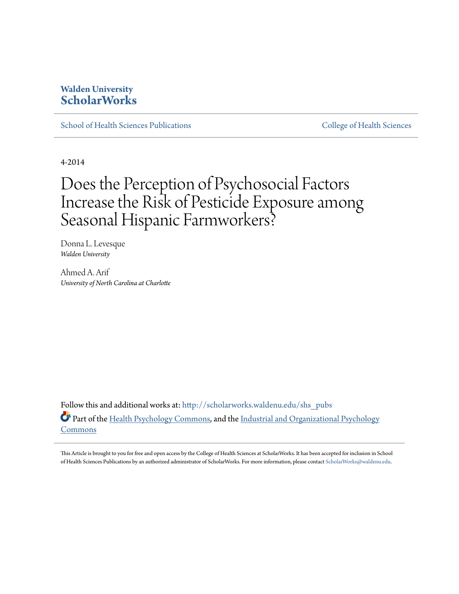## **Walden University [ScholarWorks](http://scholarworks.waldenu.edu?utm_source=scholarworks.waldenu.edu%2Fshs_pubs%2F5&utm_medium=PDF&utm_campaign=PDFCoverPages)**

[School of Health Sciences Publications](http://scholarworks.waldenu.edu/shs_pubs?utm_source=scholarworks.waldenu.edu%2Fshs_pubs%2F5&utm_medium=PDF&utm_campaign=PDFCoverPages) [College of Health Sciences](http://scholarworks.waldenu.edu/chs?utm_source=scholarworks.waldenu.edu%2Fshs_pubs%2F5&utm_medium=PDF&utm_campaign=PDFCoverPages)

4-2014

## Does the Perception of Psychosocial Factors Increase the Risk of Pesticide Exposure among Seasonal Hispanic Farmworkers?

Donna L. Levesque *Walden University*

Ahmed A. Arif *University of North Carolina at Charlotte*

Follow this and additional works at: [http://scholarworks.waldenu.edu/shs\\_pubs](http://scholarworks.waldenu.edu/shs_pubs?utm_source=scholarworks.waldenu.edu%2Fshs_pubs%2F5&utm_medium=PDF&utm_campaign=PDFCoverPages) Part of the [Health Psychology Commons](http://network.bepress.com/hgg/discipline/411?utm_source=scholarworks.waldenu.edu%2Fshs_pubs%2F5&utm_medium=PDF&utm_campaign=PDFCoverPages), and the [Industrial and Organizational Psychology](http://network.bepress.com/hgg/discipline/412?utm_source=scholarworks.waldenu.edu%2Fshs_pubs%2F5&utm_medium=PDF&utm_campaign=PDFCoverPages) [Commons](http://network.bepress.com/hgg/discipline/412?utm_source=scholarworks.waldenu.edu%2Fshs_pubs%2F5&utm_medium=PDF&utm_campaign=PDFCoverPages)

This Article is brought to you for free and open access by the College of Health Sciences at ScholarWorks. It has been accepted for inclusion in School of Health Sciences Publications by an authorized administrator of ScholarWorks. For more information, please contact [ScholarWorks@waldenu.edu](mailto:ScholarWorks@waldenu.edu).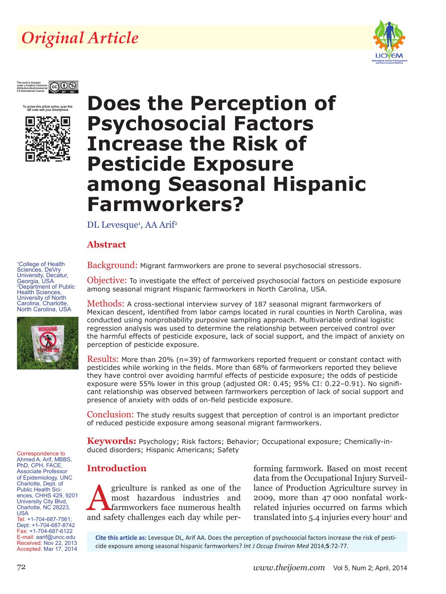## *Original Article*





**To review this article online, scan this QR code with your Smartphone**



# **Does the Perception of Psychosocial Factors Increase the Risk of Pesticide Exposure among Seasonal Hispanic Farmworkers?**

DL Levesque<sup>1</sup>, AA Arif<sup>2</sup>

### **Abstract**

1 College of Health Sciences, DeVry University, Decatur, Georgia, USA 2 Department of Public Health Sciences, University of North Carolina, Charlotte, North Carolina, USA



Correspondence to Ahmed A. Arif, MBBS, PhD, CPH, FACE, Associate Professor of Epidemiology, UNC Charlotte, Dept. of Public Health Sciences, CHHS 429, 9201 University City Blvd, Charlotte, NC 28223,

Tel: +1-704-687-7561; Dept: +1-704-687-8742 Fax: +1-704-687-6122 E-mail: aarif@uncc.edu Received: Nov 22, 2013 Accepted: Mar 17, 2014 Background: Migrant farmworkers are prone to several psychosocial stressors.

Objective: To investigate the effect of perceived psychosocial factors on pesticide exposure among seasonal migrant Hispanic farmworkers in North Carolina, USA.

Methods: A cross-sectional interview survey of 187 seasonal migrant farmworkers of Mexican descent, identified from labor camps located in rural counties in North Carolina, was conducted using nonprobability purposive sampling approach. Multivariable ordinal logistic regression analysis was used to determine the relationship between perceived control over the harmful effects of pesticide exposure, lack of social support, and the impact of anxiety on perception of pesticide exposure.

Results: More than 20% (n=39) of farmworkers reported frequent or constant contact with pesticides while working in the fields. More than 68% of farmworkers reported they believe they have control over avoiding harmful effects of pesticide exposure; the odds of pesticide exposure were 55% lower in this group (adjusted OR: 0.45; 95% CI: 0.22–0.91). No significant relationship was observed between farmworkers perception of lack of social support and presence of anxiety with odds of on-field pesticide exposure.

Conclusion: The study results suggest that perception of control is an important predictor of reduced pesticide exposure among seasonal migrant farmworkers.

**Keywords:** Psychology; Risk factors; Behavior; Occupational exposure; Chemically-induced disorders; Hispanic Americans; Safety

### **Introduction**

griculture is ranked as one of the most hazardous industries and farmworkers face numerous health and safety challenges each day while per-

forming farmwork. Based on most recent data from the Occupational Injury Surveillance of Production Agriculture survey in 2009, more than 47 000 nonfatal workrelated injuries occurred on farms which translated into 5.4 injuries every hour<sup>1</sup> and

**Cite this article as:** Levesque DL, Arif AA. Does the perception of psychosocial factors increase the risk of pesticide exposure among seasonal hispanic farmworkers? *Int J Occup Environ Med* 2014;**5**:72-77.

USA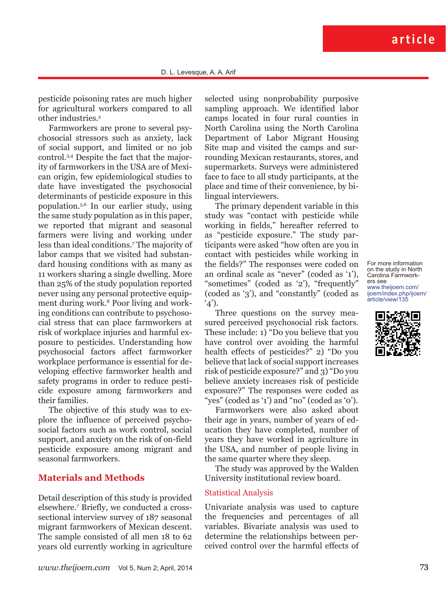pesticide poisoning rates are much higher for agricultural workers compared to all other industries.<sup>2</sup>

Farmworkers are prone to several psychosocial stressors such as anxiety, lack of social support, and limited or no job control.3,4 Despite the fact that the majority of farmworkers in the USA are of Mexican origin, few epidemiological studies to date have investigated the psychosocial determinants of pesticide exposure in this population.5,6 In our earlier study, using the same study population as in this paper, we reported that migrant and seasonal farmers were living and working under less than ideal conditions.7 The majority of labor camps that we visited had substandard housing conditions with as many as 11 workers sharing a single dwelling. More than 25% of the study population reported never using any personal protective equipment during work.8 Poor living and working conditions can contribute to psychosocial stress that can place farmworkers at risk of workplace injuries and harmful exposure to pesticides. Understanding how psychosocial factors affect farmworker workplace performance is essential for developing effective farmworker health and safety programs in order to reduce pesticide exposure among farmworkers and their families.

The objective of this study was to explore the influence of perceived psychosocial factors such as work control, social support, and anxiety on the risk of on-field pesticide exposure among migrant and seasonal farmworkers.

#### **Materials and Methods**

Detail description of this study is provided elsewhere.7 Briefly, we conducted a crosssectional interview survey of 187 seasonal migrant farmworkers of Mexican descent. The sample consisted of all men 18 to 62 years old currently working in agriculture

selected using nonprobability purposive sampling approach. We identified labor camps located in four rural counties in North Carolina using the North Carolina Department of Labor Migrant Housing Site map and visited the camps and surrounding Mexican restaurants, stores, and supermarkets. Surveys were administered face to face to all study participants, at the place and time of their convenience, by bilingual interviewers.

The primary dependent variable in this study was "contact with pesticide while working in fields," hereafter referred to as "pesticide exposure." The study participants were asked "how often are you in contact with pesticides while working in the fields?" The responses were coded on an ordinal scale as "never" (coded as '1'), "sometimes" (coded as '2'), "frequently" (coded as '3'), and "constantly" (coded as  $^{\circ}4$ ).

Three questions on the survey measured perceived psychosocial risk factors. These include: 1) "Do you believe that you have control over avoiding the harmful health effects of pesticides?" 2) "Do you believe that lack of social support increases risk of pesticide exposure?" and 3) "Do you believe anxiety increases risk of pesticide exposure?" The responses were coded as "yes" (coded as '1') and "no" (coded as '0').

Farmworkers were also asked about their age in years, number of years of education they have completed, number of years they have worked in agriculture in the USA, and number of people living in the same quarter where they sleep.

The study was approved by the Walden University institutional review board.

#### Statistical Analysis

Univariate analysis was used to capture the frequencies and percentages of all variables. Bivariate analysis was used to determine the relationships between perceived control over the harmful effects of For more information on the study in North Carolina Farmworkers see www.theijoem.com/ ijoem/index.php/ijoem/ article/view/135

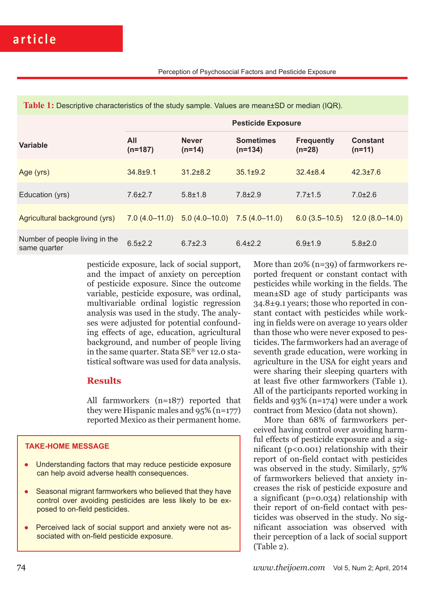| <b>TADIC 1.</b> Descriptive characteristics of the study sample. Values are mean LOD of median (rety). |                           |                          |                               |                               |                             |  |  |  |
|--------------------------------------------------------------------------------------------------------|---------------------------|--------------------------|-------------------------------|-------------------------------|-----------------------------|--|--|--|
|                                                                                                        | <b>Pesticide Exposure</b> |                          |                               |                               |                             |  |  |  |
| <b>Variable</b>                                                                                        | All<br>$(n=187)$          | <b>Never</b><br>$(n=14)$ | <b>Sometimes</b><br>$(n=134)$ | <b>Frequently</b><br>$(n=28)$ | <b>Constant</b><br>$(n=11)$ |  |  |  |
| Age (yrs)                                                                                              | $34.8 + 9.1$              | $31.2 \pm 8.2$           | $35.1 \pm 9.2$                | $32.4 \pm 8.4$                | $42.3 \pm 7.6$              |  |  |  |
| Education (yrs)                                                                                        | $7.6 \pm 2.7$             | $5.8 \pm 1.8$            | $7.8 \pm 2.9$                 | $7.7 \pm 1.5$                 | $7.0 \pm 2.6$               |  |  |  |
| Agricultural background (yrs)                                                                          | $7.0(4.0-11.0)$           | $5.0(4.0-10.0)$          | $7.5(4.0-11.0)$               | $6.0(3.5-10.5)$               | $12.0(8.0-14.0)$            |  |  |  |
| Number of people living in the<br>same quarter                                                         | $6.5 \pm 2.2$             | $6.7 \pm 2.3$            | $6.4 \pm 2.2$                 | $6.9 \pm 1.9$                 | $5.8 \pm 2.0$               |  |  |  |

**Table 1:** Descriptive characteristics of the study sample. Values are mean±SD or median (IQR).

pesticide exposure, lack of social support, and the impact of anxiety on perception of pesticide exposure. Since the outcome variable, pesticide exposure, was ordinal, multivariable ordinal logistic regression analysis was used in the study. The analyses were adjusted for potential confounding effects of age, education, agricultural background, and number of people living in the same quarter. Stata SE® ver 12.0 statistical software was used for data analysis.

#### **Results**

All farmworkers (n=187) reported that they were Hispanic males and 95% (n=177) reported Mexico as their permanent home.

#### **TAKE-HOME MESSAGE**

- Understanding factors that may reduce pesticide exposure can help avoid adverse health consequences.
- Seasonal migrant farmworkers who believed that they have control over avoiding pesticides are less likely to be exposed to on-field pesticides.
- Perceived lack of social support and anxiety were not associated with on-field pesticide exposure.

More than 20% (n=39) of farmworkers reported frequent or constant contact with pesticides while working in the fields. The mean±SD age of study participants was 34.8±9.1 years; those who reported in constant contact with pesticides while working in fields were on average 10 years older than those who were never exposed to pesticides. The farmworkers had an average of seventh grade education, were working in agriculture in the USA for eight years and were sharing their sleeping quarters with at least five other farmworkers (Table 1). All of the participants reported working in fields and 93% (n=174) were under a work contract from Mexico (data not shown).

More than 68% of farmworkers perceived having control over avoiding harmful effects of pesticide exposure and a significant  $(p<0.001)$  relationship with their report of on-field contact with pesticides was observed in the study. Similarly, 57% of farmworkers believed that anxiety increases the risk of pesticide exposure and a significant (p=0.034) relationship with their report of on-field contact with pesticides was observed in the study. No significant association was observed with their perception of a lack of social support (Table 2).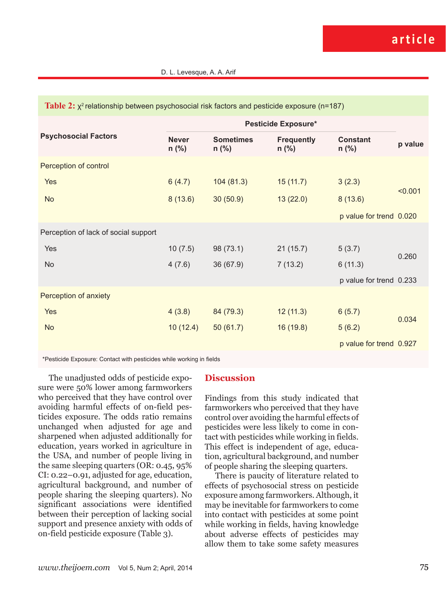| <b>Example 2</b> $\lambda$ is completed by the property of the contractors and positional supposite $\mu$ is the f |                         |                             |                              |                            |         |  |  |  |  |
|--------------------------------------------------------------------------------------------------------------------|-------------------------|-----------------------------|------------------------------|----------------------------|---------|--|--|--|--|
|                                                                                                                    | Pesticide Exposure*     |                             |                              |                            |         |  |  |  |  |
| <b>Psychosocial Factors</b>                                                                                        | <b>Never</b><br>$n$ (%) | <b>Sometimes</b><br>$n$ (%) | <b>Frequently</b><br>$n$ (%) | <b>Constant</b><br>$n$ (%) | p value |  |  |  |  |
| Perception of control                                                                                              |                         |                             |                              |                            |         |  |  |  |  |
| <b>Yes</b>                                                                                                         | 6(4.7)                  | 104(81.3)                   | 15(11.7)                     | 3(2.3)                     | < 0.001 |  |  |  |  |
| <b>No</b>                                                                                                          | 8(13.6)                 | 30(50.9)                    | 13(22.0)                     | 8(13.6)                    |         |  |  |  |  |
|                                                                                                                    |                         |                             |                              | p value for trend 0.020    |         |  |  |  |  |
| Perception of lack of social support                                                                               |                         |                             |                              |                            |         |  |  |  |  |
| Yes                                                                                                                | 10(7.5)                 | 98 (73.1)                   | 21(15.7)                     | 5(3.7)                     |         |  |  |  |  |
| <b>No</b>                                                                                                          | 4(7.6)                  | 36(67.9)                    | 7(13.2)                      | 6(11.3)                    | 0.260   |  |  |  |  |
|                                                                                                                    |                         |                             |                              | p value for trend 0.233    |         |  |  |  |  |
| Perception of anxiety                                                                                              |                         |                             |                              |                            |         |  |  |  |  |
| Yes                                                                                                                | 4(3.8)                  | 84 (79.3)                   | 12(11.3)                     | 6(5.7)                     | 0.034   |  |  |  |  |
| <b>No</b>                                                                                                          | 10(12.4)                | 50(61.7)                    | 16(19.8)                     | 5(6.2)                     |         |  |  |  |  |
|                                                                                                                    |                         |                             |                              | p value for trend 0.927    |         |  |  |  |  |

**Table 2:**  $y^2$  relationship between psychosocial risk factors and pesticide exposure (n=187)

\*Pesticide Exposure: Contact with pesticides while working in fields

The unadjusted odds of pesticide exposure were 50% lower among farmworkers who perceived that they have control over avoiding harmful effects of on-field pesticides exposure. The odds ratio remains unchanged when adjusted for age and sharpened when adjusted additionally for education, years worked in agriculture in the USA, and number of people living in the same sleeping quarters (OR: 0.45, 95% CI: 0.22–0.91, adjusted for age, education, agricultural background, and number of people sharing the sleeping quarters). No significant associations were identified between their perception of lacking social support and presence anxiety with odds of on-field pesticide exposure (Table 3).

#### **Discussion**

Findings from this study indicated that farmworkers who perceived that they have control over avoiding the harmful effects of pesticides were less likely to come in contact with pesticides while working in fields. This effect is independent of age, education, agricultural background, and number of people sharing the sleeping quarters.

There is paucity of literature related to effects of psychosocial stress on pesticide exposure among farmworkers. Although, it may be inevitable for farmworkers to come into contact with pesticides at some point while working in fields, having knowledge about adverse effects of pesticides may allow them to take some safety measures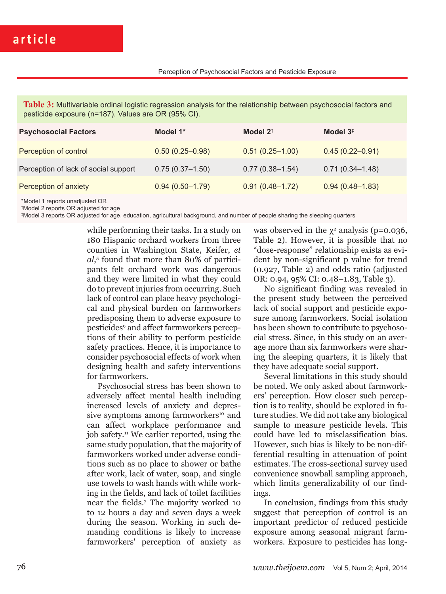**Table 3:** Multivariable ordinal logistic regression analysis for the relationship between psychosocial factors and pesticide exposure (n=187). Values are OR (95% CI).

| <b>Psychosocial Factors</b>          | Model 1*            | Model $2^{\dagger}$ | Model $3‡$          |
|--------------------------------------|---------------------|---------------------|---------------------|
| Perception of control                | $0.50(0.25 - 0.98)$ | $0.51(0.25 - 1.00)$ | $0.45(0.22 - 0.91)$ |
| Perception of lack of social support | $0.75(0.37-1.50)$   | $0.77(0.38 - 1.54)$ | $0.71(0.34 - 1.48)$ |
| Perception of anxiety                | $0.94(0.50 - 1.79)$ | $0.91(0.48 - 1.72)$ | $0.94(0.48 - 1.83)$ |

\*Model 1 reports unadjusted OR

† Model 2 reports OR adjusted for age

‡ Model 3 reports OR adjusted for age, education, agricultural background, and number of people sharing the sleeping quarters

while performing their tasks. In a study on 180 Hispanic orchard workers from three counties in Washington State, Keifer, *et al*, 5 found that more than 80% of participants felt orchard work was dangerous and they were limited in what they could do to prevent injuries from occurring. Such lack of control can place heavy psychological and physical burden on farmworkers predisposing them to adverse exposure to pesticides9 and affect farmworkers perceptions of their ability to perform pesticide safety practices. Hence, it is importance to consider psychosocial effects of work when designing health and safety interventions for farmworkers.

Psychosocial stress has been shown to adversely affect mental health including increased levels of anxiety and depressive symptoms among farmworkers<sup>10</sup> and can affect workplace performance and job safety.11 We earlier reported, using the same study population, that the majority of farmworkers worked under adverse conditions such as no place to shower or bathe after work, lack of water, soap, and single use towels to wash hands with while working in the fields, and lack of toilet facilities near the fields.7 The majority worked 10 to 12 hours a day and seven days a week during the season. Working in such demanding conditions is likely to increase farmworkers' perception of anxiety as

was observed in the  $\chi^2$  analysis (p=0.036, Table 2). However, it is possible that no "dose-response" relationship exists as evident by non-significant p value for trend (0.927, Table 2) and odds ratio (adjusted OR: 0.94, 95% CI: 0.48–1.83, Table 3).

No significant finding was revealed in the present study between the perceived lack of social support and pesticide exposure among farmworkers. Social isolation has been shown to contribute to psychosocial stress. Since, in this study on an average more than six farmworkers were sharing the sleeping quarters, it is likely that they have adequate social support.

Several limitations in this study should be noted. We only asked about farmworkers' perception. How closer such perception is to reality, should be explored in future studies. We did not take any biological sample to measure pesticide levels. This could have led to misclassification bias. However, such bias is likely to be non-differential resulting in attenuation of point estimates. The cross-sectional survey used convenience snowball sampling approach, which limits generalizability of our findings.

In conclusion, findings from this study suggest that perception of control is an important predictor of reduced pesticide exposure among seasonal migrant farmworkers. Exposure to pesticides has long